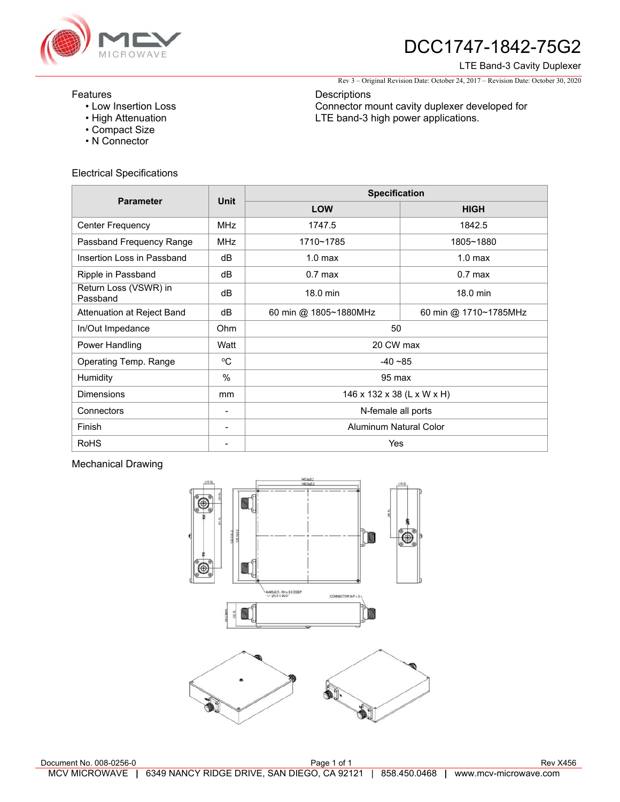

# DCC1747-1842-75G2

#### LTE Band-3 Cavity Duplexer

Rev 3 – Original Revision Date: October 24, 2017 – Revision Date: October 30, 2020

## Features

- Low Insertion Loss
- High Attenuation
- Compact Size
- N Connector

## Electrical Specifications

**Descriptions** Connector mount cavity duplexer developed for LTE band-3 high power applications.

| <b>Parameter</b>                  | Unit           | <b>Specification</b>       |                       |
|-----------------------------------|----------------|----------------------------|-----------------------|
|                                   |                | <b>LOW</b>                 | <b>HIGH</b>           |
| <b>Center Frequency</b>           | <b>MHz</b>     | 1747.5                     | 1842.5                |
| Passband Frequency Range          | <b>MHz</b>     | 1710~1785                  | 1805~1880             |
| Insertion Loss in Passband        | dB             | 1.0 <sub>max</sub>         | 1.0 <sub>max</sub>    |
| Ripple in Passband                | dB             | $0.7$ max                  | $0.7$ max             |
| Return Loss (VSWR) in<br>Passband | dB             | 18.0 min                   | 18.0 min              |
| Attenuation at Reject Band        | dB             | 60 min @ 1805~1880MHz      | 60 min @ 1710~1785MHz |
| In/Out Impedance                  | Ohm            | 50                         |                       |
| Power Handling                    | Watt           | 20 CW max                  |                       |
| Operating Temp. Range             | $\rm ^{o}C$    | $-40 - 85$                 |                       |
| Humidity                          | $\frac{0}{0}$  | 95 max                     |                       |
| <b>Dimensions</b>                 | mm             | 146 x 132 x 38 (L x W x H) |                       |
| Connectors                        | $\overline{a}$ | N-female all ports         |                       |
| Finish                            |                | Aluminum Natural Color     |                       |
| <b>RoHS</b>                       | -              | Yes                        |                       |

## Mechanical Drawing